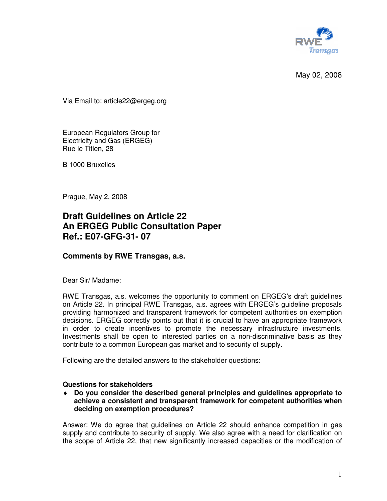

May 02, 2008

Via Email to: article22@ergeg.org

European Regulators Group for Electricity and Gas (ERGEG) Rue le Titien, 28

B 1000 Bruxelles

Prague, May 2, 2008

# **Draft Guidelines on Article 22 An ERGEG Public Consultation Paper Ref.: E07-GFG-31- 07**

# **Comments by RWE Transgas, a.s.**

Dear Sir/ Madame:

RWE Transgas, a.s. welcomes the opportunity to comment on ERGEG's draft guidelines on Article 22. In principal RWE Transgas, a.s. agrees with ERGEG's guideline proposals providing harmonized and transparent framework for competent authorities on exemption decisions. ERGEG correctly points out that it is crucial to have an appropriate framework in order to create incentives to promote the necessary infrastructure investments. Investments shall be open to interested parties on a non-discriminative basis as they contribute to a common European gas market and to security of supply.

Following are the detailed answers to the stakeholder questions:

# **Questions for stakeholders**

♦ **Do you consider the described general principles and guidelines appropriate to achieve a consistent and transparent framework for competent authorities when deciding on exemption procedures?** 

Answer: We do agree that guidelines on Article 22 should enhance competition in gas supply and contribute to security of supply. We also agree with a need for clarification on the scope of Article 22, that new significantly increased capacities or the modification of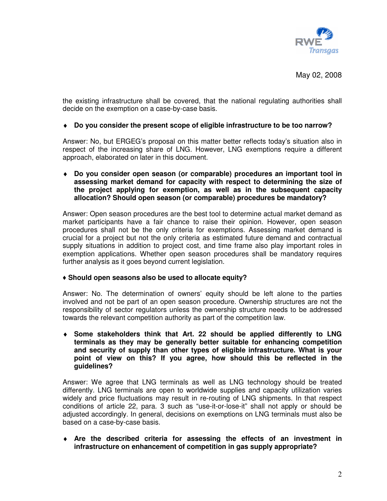

the existing infrastructure shall be covered, that the national regulating authorities shall decide on the exemption on a case-by-case basis.

# ♦ **Do you consider the present scope of eligible infrastructure to be too narrow?**

Answer: No, but ERGEG's proposal on this matter better reflects today's situation also in respect of the increasing share of LNG. However, LNG exemptions require a different approach, elaborated on later in this document.

♦ **Do you consider open season (or comparable) procedures an important tool in assessing market demand for capacity with respect to determining the size of the project applying for exemption, as well as in the subsequent capacity allocation? Should open season (or comparable) procedures be mandatory?** 

Answer: Open season procedures are the best tool to determine actual market demand as market participants have a fair chance to raise their opinion. However, open season procedures shall not be the only criteria for exemptions. Assessing market demand is crucial for a project but not the only criteria as estimated future demand and contractual supply situations in addition to project cost, and time frame also play important roles in exemption applications. Whether open season procedures shall be mandatory requires further analysis as it goes beyond current legislation.

#### ♦ **Should open seasons also be used to allocate equity?**

Answer: No. The determination of owners' equity should be left alone to the parties involved and not be part of an open season procedure. Ownership structures are not the responsibility of sector regulators unless the ownership structure needs to be addressed towards the relevant competition authority as part of the competition law.

♦ **Some stakeholders think that Art. 22 should be applied differently to LNG terminals as they may be generally better suitable for enhancing competition and security of supply than other types of eligible infrastructure. What is your point of view on this? If you agree, how should this be reflected in the guidelines?** 

Answer: We agree that LNG terminals as well as LNG technology should be treated differently. LNG terminals are open to worldwide supplies and capacity utilization varies widely and price fluctuations may result in re-routing of LNG shipments. In that respect conditions of article 22, para. 3 such as "use-it-or-lose-it" shall not apply or should be adjusted accordingly. In general, decisions on exemptions on LNG terminals must also be based on a case-by-case basis.

♦ **Are the described criteria for assessing the effects of an investment in infrastructure on enhancement of competition in gas supply appropriate?**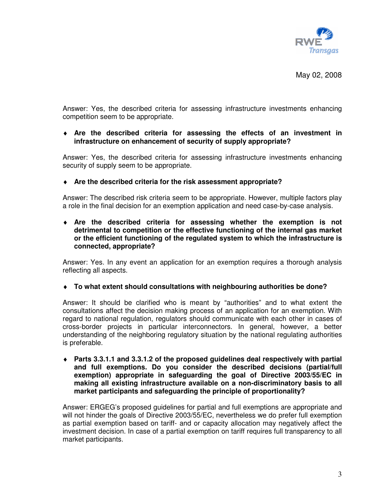

May 02, 2008

Answer: Yes, the described criteria for assessing infrastructure investments enhancing competition seem to be appropriate.

## ♦ **Are the described criteria for assessing the effects of an investment in infrastructure on enhancement of security of supply appropriate?**

Answer: Yes, the described criteria for assessing infrastructure investments enhancing security of supply seem to be appropriate.

## ♦ **Are the described criteria for the risk assessment appropriate?**

Answer: The described risk criteria seem to be appropriate. However, multiple factors play a role in the final decision for an exemption application and need case-by-case analysis.

♦ **Are the described criteria for assessing whether the exemption is not detrimental to competition or the effective functioning of the internal gas market or the efficient functioning of the regulated system to which the infrastructure is connected, appropriate?** 

Answer: Yes. In any event an application for an exemption requires a thorough analysis reflecting all aspects.

♦ **To what extent should consultations with neighbouring authorities be done?** 

Answer: It should be clarified who is meant by "authorities" and to what extent the consultations affect the decision making process of an application for an exemption. With regard to national regulation, regulators should communicate with each other in cases of cross-border projects in particular interconnectors. In general, however, a better understanding of the neighboring regulatory situation by the national regulating authorities is preferable.

♦ **Parts 3.3.1.1 and 3.3.1.2 of the proposed guidelines deal respectively with partial and full exemptions. Do you consider the described decisions (partial/full exemption) appropriate in safeguarding the goal of Directive 2003/55/EC in making all existing infrastructure available on a non-discriminatory basis to all market participants and safeguarding the principle of proportionality?** 

Answer: ERGEG's proposed guidelines for partial and full exemptions are appropriate and will not hinder the goals of Directive 2003/55/EC, nevertheless we do prefer full exemption as partial exemption based on tariff- and or capacity allocation may negatively affect the investment decision. In case of a partial exemption on tariff requires full transparency to all market participants.